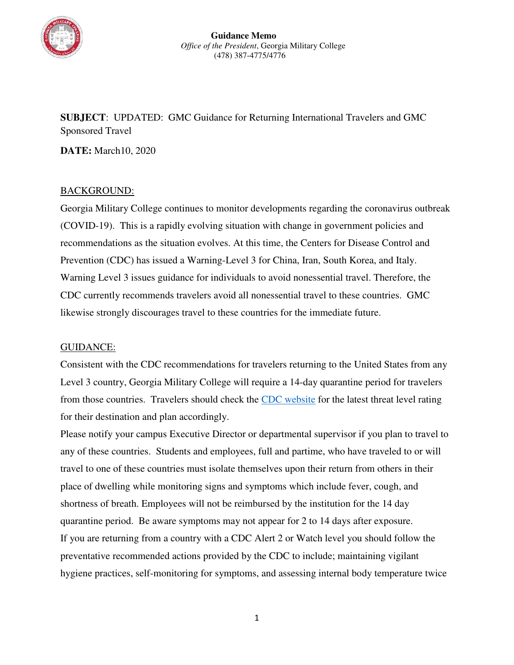

**SUBJECT**: UPDATED: GMC Guidance for Returning International Travelers and GMC Sponsored Travel

**DATE:** March10, 2020

## BACKGROUND:

Georgia Military College continues to monitor developments regarding the coronavirus outbreak (COVID-19). This is a rapidly evolving situation with change in government policies and recommendations as the situation evolves. At this time, the Centers for Disease Control and Prevention (CDC) has issued a Warning-Level 3 for China, Iran, South Korea, and Italy. Warning Level 3 issues guidance for individuals to avoid nonessential travel. Therefore, the CDC currently recommends travelers avoid all nonessential travel to these countries. GMC likewise strongly discourages travel to these countries for the immediate future.

## GUIDANCE:

Consistent with the CDC recommendations for travelers returning to the United States from any Level 3 country, Georgia Military College will require a 14-day quarantine period for travelers from those countries. Travelers should check the [CDC website](https://www.cdc.gov/coronavirus/2019-ncov/travelers/index.html) for the latest threat level rating for their destination and plan accordingly.

Please notify your campus Executive Director or departmental supervisor if you plan to travel to any of these countries. Students and employees, full and partime, who have traveled to or will travel to one of these countries must isolate themselves upon their return from others in their place of dwelling while monitoring signs and symptoms which include fever, cough, and shortness of breath. Employees will not be reimbursed by the institution for the 14 day quarantine period. Be aware symptoms may not appear for 2 to 14 days after exposure. If you are returning from a country with a CDC Alert 2 or Watch level you should follow the preventative recommended actions provided by the CDC to include; maintaining vigilant hygiene practices, self-monitoring for symptoms, and assessing internal body temperature twice